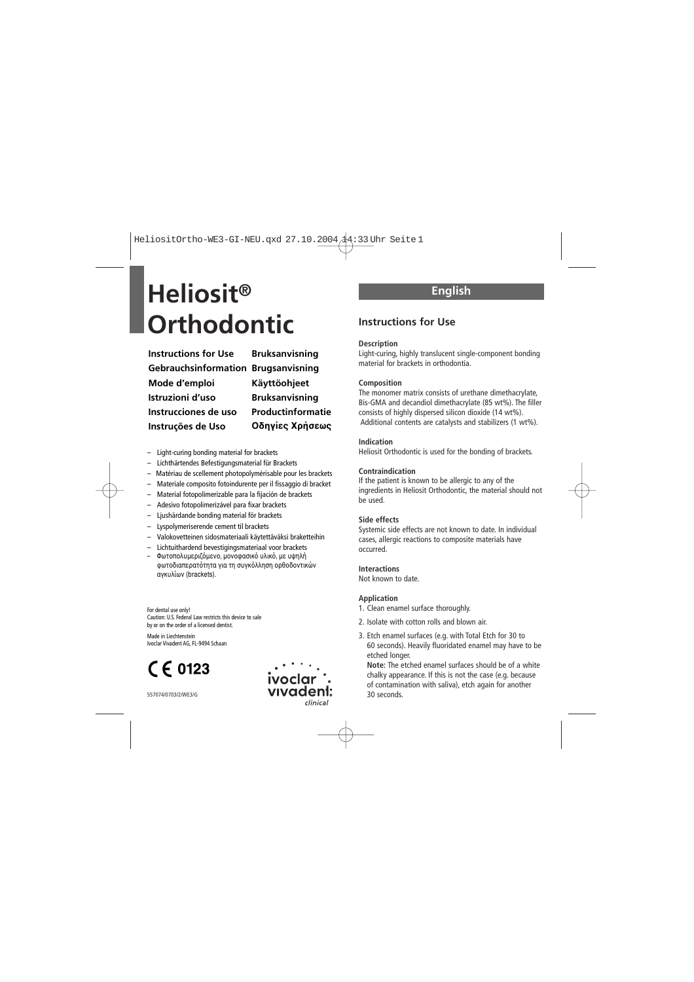## **Heliosit® Orthodontic Instructions for Use**

**Instructions for Use Gebrauchsinformation Brugsanvisning Mode d'emploi Istruzioni d'uso Instrucciones de uso Instruções de Uso**

**Bruksanvisning Käyttöohjeet Bruksanvisning Productinformatie Oδηγίες Xρήσεως**

- Light-curing bonding material for brackets
- Lichthärtendes Befestigungsmaterial für Brackets
- Matériau de scellement photopolymérisable pour les brackets
- Materiale composito fotoindurente per il fissaggio di bracket
- Material fotopolimerizable para la fijación de brackets
- Adesivo fotopolimerizável para fixar brackets
- Ljushärdande bonding material för brackets
- Lyspolymeriserende cement til brackets
- Valokovetteinen sidosmateriaali käytettäväksi braketteihin
- Lichtuithardend bevestigingsmateriaal voor brackets
- Φωτοπολυμεριζόμενο, μονοφασικό υλικό, με υψηλή φωτοδιαπερατότητα για τη συγκόλληση ροθοδοντικών αγκυλίων (brackets).

For dental use only! Caution: U.S. Federal Law restricts this device to sale by or on the order of a licensed dentist.

Made in Liechtenstein Ivoclar Vivadent AG, FL-9494 Schaan

## $C \in 0123$



## **English**

#### **Description**

Light-curing, highly translucent single-component bonding material for brackets in orthodontia.

#### **Composition**

The monomer matrix consists of urethane dimethacrylate, Bis-GMA and decandiol dimethacrylate (85 wt%). The filler consists of highly dispersed silicon dioxide (14 wt%). Additional contents are catalysts and stabilizers (1 wt%).

#### **Indication**

Heliosit Orthodontic is used for the bonding of brackets.

#### **Contraindication**

If the patient is known to be allergic to any of the ingredients in Heliosit Orthodontic, the material should not be used.

#### **Side effects**

Systemic side effects are not known to date. In individual cases, allergic reactions to composite materials have occurred.

#### **Interactions**

Not known to date.

#### **Application**

- 1. Clean enamel surface thoroughly.
- 2. Isolate with cotton rolls and blown air.
- 3. Etch enamel surfaces (e.g. with Total Etch for 30 to 60 seconds). Heavily fluoridated enamel may have to be etched longer.

**Note:** The etched enamel surfaces should be of a white chalky appearance. If this is not the case (e.g. because of contamination with saliva), etch again for another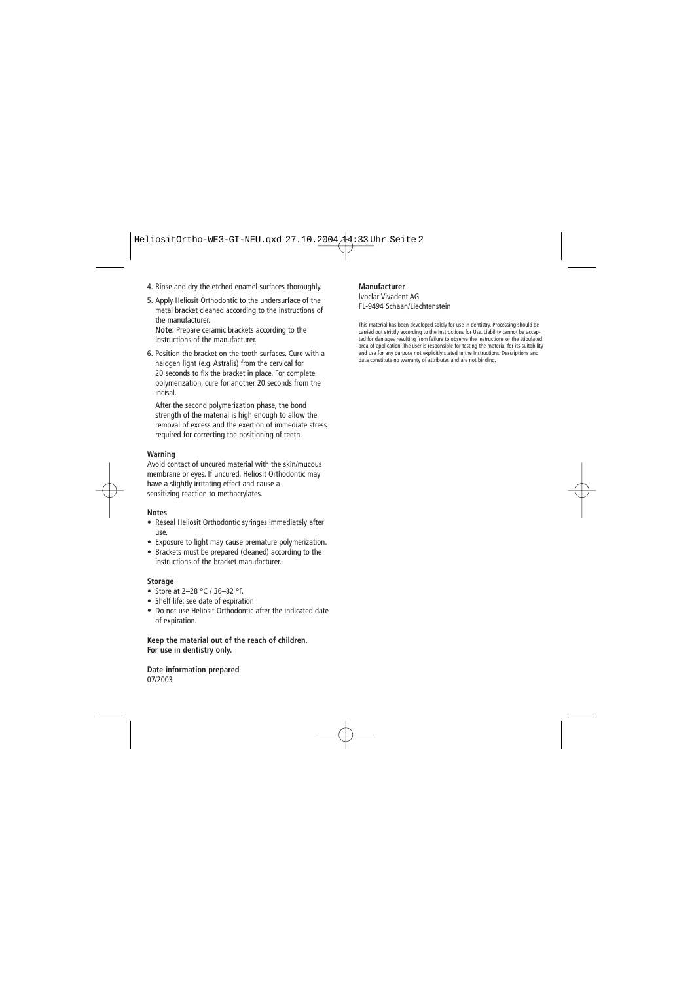- 4. Rinse and dry the etched enamel surfaces thoroughly.
- 5. Apply Heliosit Orthodontic to the undersurface of the metal bracket cleaned according to the instructions of the manufacturer. **Note:** Prepare ceramic brackets according to the

instructions of the manufacturer.

6. Position the bracket on the tooth surfaces. Cure with a halogen light (e.g. Astralis) from the cervical for 20 seconds to fix the bracket in place. For complete polymerization, cure for another 20 seconds from the incisal.

After the second polymerization phase, the bond strength of the material is high enough to allow the removal of excess and the exertion of immediate stress required for correcting the positioning of teeth.

#### **Warning**

Avoid contact of uncured material with the skin/mucous membrane or eyes. If uncured, Heliosit Orthodontic may have a slightly irritating effect and cause a sensitizing reaction to methacrylates.

#### **Notes**

- Reseal Heliosit Orthodontic syringes immediately after use.
- Exposure to light may cause premature polymerization.
- Brackets must be prepared (cleaned) according to the instructions of the bracket manufacturer.

#### **Storage**

- Store at 2-28 °C / 36-82 °F.
- Shelf life: see date of expiration
- Do not use Heliosit Orthodontic after the indicated date of expiration.

**Keep the material out of the reach of children. For use in dentistry only.**

**Date information prepared**  07/2003

#### **Manufacturer**

#### Ivoclar Vivadent AG FL-9494 Schaan/Liechtenstein

This material has been developed solely for use in dentistry. Processing should be carried out strictly according to the Instructions for Use. Liability cannot be accepted for damages resulting from failure to observe the Instructions or the stipulated area of application. The user is responsible for testing the material for its suitability and use for any purpose not explicitly stated in the Instructions. Descriptions and data constitute no warranty of attributes and are not binding.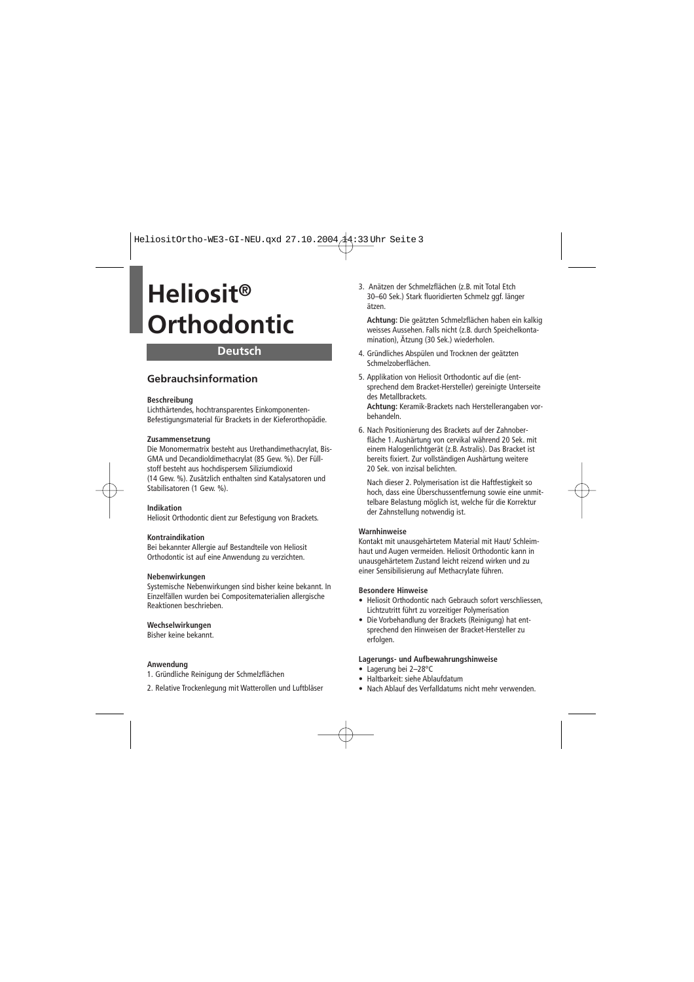## **Deutsch**

## **Gebrauchsinformation**

#### **Beschreibung**

Lichthärtendes, hochtransparentes Einkomponenten-Befestigungsmaterial für Brackets in der Kieferorthopädie.

#### **Zusammensetzung**

Die Monomermatrix besteht aus Urethandimethacrylat, Bis-GMA und Decandioldimethacrylat (85 Gew. %). Der Füllstoff besteht aus hochdispersem Siliziumdioxid (14 Gew. %). Zusätzlich enthalten sind Katalysatoren und Stabilisatoren (1 Gew. %).

#### **Indikation**

Heliosit Orthodontic dient zur Befestigung von Brackets.

#### **Kontraindikation**

Bei bekannter Allergie auf Bestandteile von Heliosit Orthodontic ist auf eine Anwendung zu verzichten.

#### **Nebenwirkungen**

Systemische Nebenwirkungen sind bisher keine bekannt. In Einzelfällen wurden bei Compositematerialien allergische Reaktionen beschrieben.

#### **Wechselwirkungen**

Bisher keine bekannt.

#### **Anwendung**

- 1. Gründliche Reinigung der Schmelzflächen
- 2. Relative Trockenlegung mit Watterollen und Luftbläser

3. Anätzen der Schmelzflächen (z.B. mit Total Etch 30–60 Sek.) Stark fluoridierten Schmelz ggf. länger ätzen.

**Achtung:** Die geätzten Schmelzflächen haben ein kalkig weisses Aussehen. Falls nicht (z.B. durch Speichelkontamination), Ätzung (30 Sek.) wiederholen.

- 4. Gründliches Abspülen und Trocknen der geätzten Schmelzoberflächen.
- 5. Applikation von Heliosit Orthodontic auf die (entsprechend dem Bracket-Hersteller) gereinigte Unterseite des Metallbrackets. **Achtung:** Keramik-Brackets nach Herstellerangaben vorbehandeln.
- 6. Nach Positionierung des Brackets auf der Zahnoberfläche 1. Aushärtung von cervikal während 20 Sek. mit einem Halogenlichtgerät (z.B. Astralis). Das Bracket ist bereits fixiert. Zur vollständigen Aushärtung weitere 20 Sek. von inzisal belichten.

Nach dieser 2. Polymerisation ist die Haftfestigkeit so hoch, dass eine Überschussentfernung sowie eine unmittelbare Belastung möglich ist, welche für die Korrektur der Zahnstellung notwendig ist.

#### **Warnhinweise**

Kontakt mit unausgehärtetem Material mit Haut/ Schleimhaut und Augen vermeiden. Heliosit Orthodontic kann in unausgehärtetem Zustand leicht reizend wirken und zu einer Sensibilisierung auf Methacrylate führen.

#### **Besondere Hinweise**

- Heliosit Orthodontic nach Gebrauch sofort verschliessen, Lichtzutritt führt zu vorzeitiger Polymerisation
- Die Vorbehandlung der Brackets (Reinigung) hat entsprechend den Hinweisen der Bracket-Hersteller zu erfolgen.

#### **Lagerungs- und Aufbewahrungshinweise**

- Lagerung bei 2–28°C
- Haltbarkeit: siehe Ablaufdatum
- Nach Ablauf des Verfalldatums nicht mehr verwenden.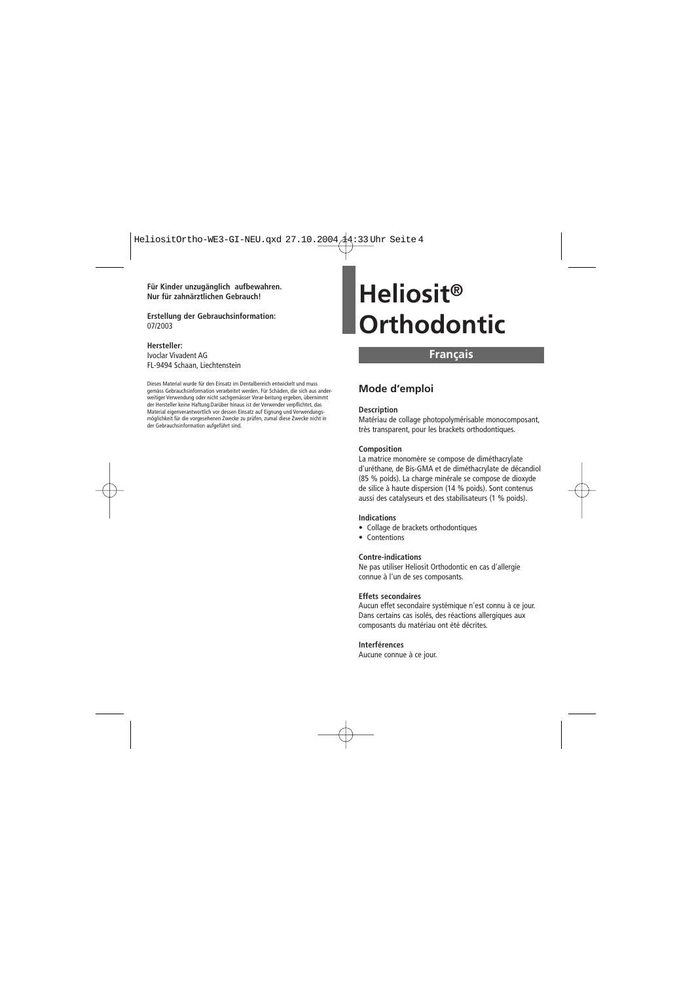**Für Kinder unzugänglich aufbewahren. Nur für zahnärztlichen Gebrauch!**

**Erstellung der Gebrauchsinformation:** 07/2003

#### **Hersteller:**

Ivoclar Vivadent AG FL-9494 Schaan, Liechtenstein

Dieses Material wurde für den Einsatz im Dentalbereich entwickelt und muss gemäss Gebrauchsinformation verarbeitet werden. Für Schäden, die sich aus anderweitiger Verwendung oder nicht sachgemässer Verar-beitung ergeben, übernimmt der Hersteller keine Haftung.Darüber hinaus ist der Verwender verpflichtet, das Material eigenverantwortlich vor dessen Einsatz auf Eignung und Verwendungsmöglichkeit für die vorgesehenen Zwecke zu prüfen, zumal diese Zwecke nicht in der Gebrauchsinformation aufgeführt sind.

## **Heliosit® Orthodontic**

### **Français**

### **Mode d'emploi**

#### **Description**

Matériau de collage photopolymérisable monocomposant, très transparent, pour les brackets orthodontiques.

#### **Composition**

La matrice monomère se compose de diméthacrylate d'uréthane, de Bis-GMA et de diméthacrylate de décandiol (85 % poids). La charge minérale se compose de dioxyde de silice à haute dispersion (14 % poids). Sont contenus aussi des catalyseurs et des stabilisateurs (1 % poids).

#### **Indications**

- Collage de brackets orthodontiques
- Contentions

#### **Contre-indications**

Ne pas utiliser Heliosit Orthodontic en cas d'allergie connue à l'un de ses composants.

#### **Effets secondaires**

Aucun effet secondaire systémique n'est connu à ce jour. Dans certains cas isolés, des réactions allergiques aux composants du matériau ont été décrites.

#### **Interférences**

Aucune connue à ce jour.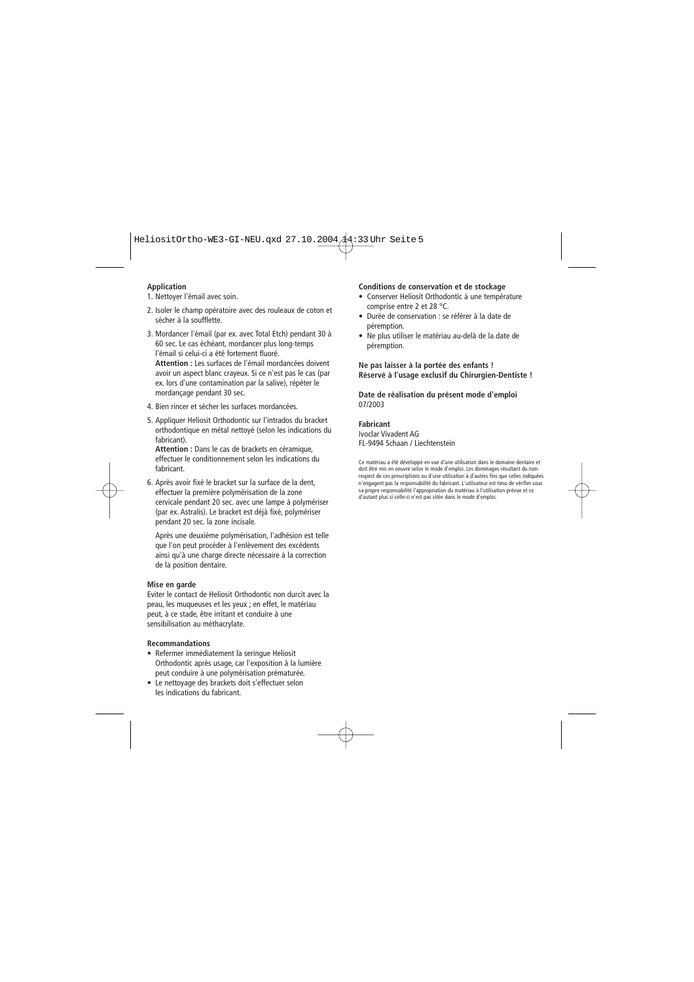#### **Application**

- 1. Nettoyer l'émail avec soin.
- 2. Isoler le champ opératoire avec des rouleaux de coton et sécher à la soufflette.
- 3. Mordancer l'émail (par ex. avec Total Etch) pendant 30 à 60 sec. Le cas échéant, mordancer plus long-temps l'émail si celui-ci a été fortement fluoré.

**Attention :** Les surfaces de l'émail mordancées doivent avoir un aspect blanc crayeux. Si ce n'est pas le cas (par ex. lors d'une contamination par la salive), répéter le mordançage pendant 30 sec.

- 4. Bien rincer et sécher les surfaces mordancées.
- 5. Appliquer Heliosit Orthodontic sur l'intrados du bracket orthodontique en métal nettoyé (selon les indications du fabricant).

**Attention :** Dans le cas de brackets en céramique, effectuer le conditionnement selon les indications du fabricant.

6. Après avoir fixé le bracket sur la surface de la dent, effectuer la première polymérisation de la zone cervicale pendant 20 sec. avec une lampe à polymériser (par ex. Astralis). Le bracket est déjà fixé, polymériser pendant 20 sec. la zone incisale.

Après une deuxième polymérisation, l'adhésion est telle que l'on peut procéder à l'enlèvement des excédents ainsi qu'à une charge directe nécessaire à la correction de la position dentaire.

#### **Mise en garde**

Eviter le contact de Heliosit Orthodontic non durcit avec la peau, les muqueuses et les yeux ; en effet, le matériau peut, à ce stade, être irritant et conduire à une sensibilisation au méthacrylate.

#### **Recommandations**

- Refermer immédiatement la seringue Heliosit Orthodontic après usage, car l'exposition à la lumière peut conduire à une polymérisation prématurée.
- Le nettoyage des brackets doit s'effectuer selon les indications du fabricant.

#### **Conditions de conservation et de stockage**

- Conserver Heliosit Orthodontic à une température comprise entre 2 et 28 °C.
- Durée de conservation : se référer à la date de péremption.
- Ne plus utiliser le matériau au-delà de la date de péremption.

#### **Ne pas laisser à la portée des enfants ! Réservé à l'usage exclusif du Chirurgien-Dentiste !**

#### **Date de réalisation du présent mode d'emploi** 07/2003

#### **Fabricant**

Ivoclar Vivadent AG FL-9494 Schaan / Liechtenstein

Ce matériau a été développé en vue d'une utilisation dans le domaine dentaire et doit être mis en oeuvre selon le mode d'emploi. Les dommages résultant du nonrespect de ces prescriptions ou d'une utilisation à d'autres fins que celles indiquées n'engagent pas la responsabilité du fabricant. L'utilisateur est tenu de vérifier sous sa propre responsabilité l'appropriation du matériau à l'utilisation prévue et ce d'autant plus si celle-ci n'est pas citée dans le mode d'emploi.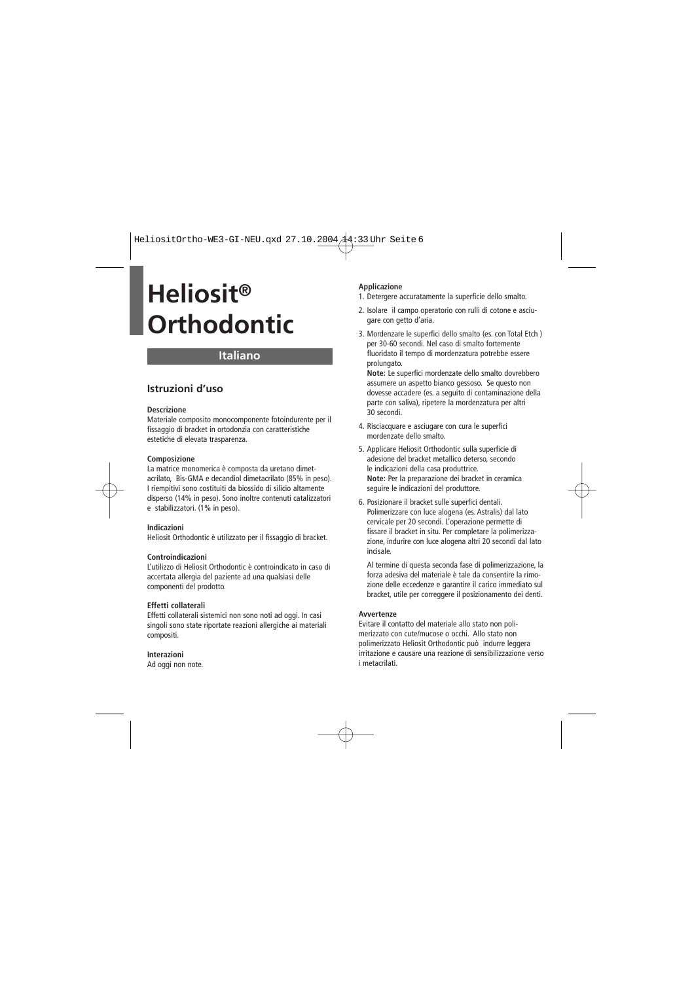## **Italiano**

### **Istruzioni d'uso**

#### **Descrizione**

Materiale composito monocomponente fotoindurente per il fissaggio di bracket in ortodonzia con caratteristiche estetiche di elevata trasparenza.

#### **Composizione**

La matrice monomerica è composta da uretano dimetacrilato, Bis-GMA e decandiol dimetacrilato (85% in peso). I riempitivi sono costituiti da biossido di silicio altamente disperso (14% in peso). Sono inoltre contenuti catalizzatori e stabilizzatori. (1% in peso).

#### **Indicazioni**

Heliosit Orthodontic è utilizzato per il fissaggio di bracket.

#### **Controindicazioni**

L'utilizzo di Heliosit Orthodontic è controindicato in caso di accertata allergia del paziente ad una qualsiasi delle componenti del prodotto.

#### **Effetti collaterali**

Effetti collaterali sistemici non sono noti ad oggi. In casi singoli sono state riportate reazioni allergiche ai materiali compositi.

#### **Interazioni**

Ad oggi non note.

#### **Applicazione**

- 1. Detergere accuratamente la superficie dello smalto.
- 2. Isolare il campo operatorio con rulli di cotone e asciugare con getto d'aria.
- 3. Mordenzare le superfici dello smalto (es. con Total Etch ) per 30-60 secondi. Nel caso di smalto fortemente fluoridato il tempo di mordenzatura potrebbe essere prolungato.

**Note:** Le superfici mordenzate dello smalto dovrebbero assumere un aspetto bianco gessoso. Se questo non dovesse accadere (es. a seguito di contaminazione della parte con saliva), ripetere la mordenzatura per altri 30 secondi.

- 4. Risciacquare e asciugare con cura le superfici mordenzate dello smalto.
- 5. Applicare Heliosit Orthodontic sulla superficie di adesione del bracket metallico deterso, secondo le indicazioni della casa produttrice. **Note:** Per la preparazione dei bracket in ceramica seguire le indicazioni del produttore.
- 6. Posizionare il bracket sulle superfici dentali. Polimerizzare con luce alogena (es. Astralis) dal lato cervicale per 20 secondi. L'operazione permette di fissare il bracket in situ. Per completare la polimerizzazione, indurire con luce alogena altri 20 secondi dal lato incisale.

Al termine di questa seconda fase di polimerizzazione, la forza adesiva del materiale è tale da consentire la rimozione delle eccedenze e garantire il carico immediato sul bracket, utile per correggere il posizionamento dei denti.

#### **Avvertenze**

Evitare il contatto del materiale allo stato non polimerizzato con cute/mucose o occhi. Allo stato non polimerizzato Heliosit Orthodontic può indurre leggera irritazione e causare una reazione di sensibilizzazione verso i metacrilati.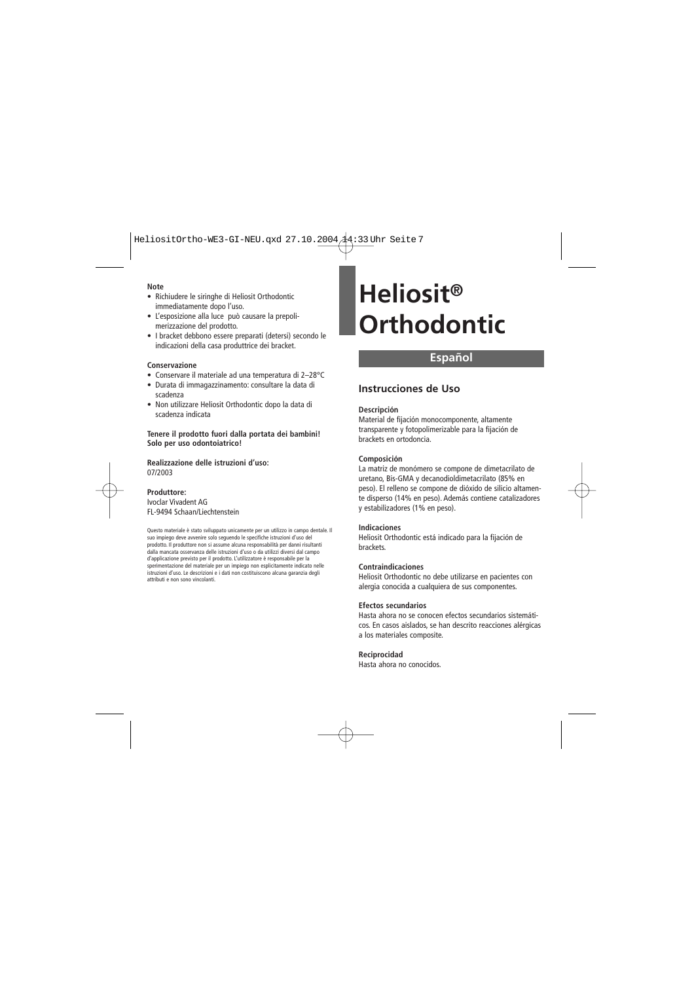#### **Note**

- Richiudere le siringhe di Heliosit Orthodontic immediatamente dopo l'uso.
- L'esposizione alla luce può causare la prepolimerizzazione del prodotto.
- I bracket debbono essere preparati (detersi) secondo le indicazioni della casa produttrice dei bracket.

#### **Conservazione**

- Conservare il materiale ad una temperatura di 2–28°C
- Durata di immagazzinamento: consultare la data di scadenza
- Non utilizzare Heliosit Orthodontic dopo la data di scadenza indicata

**Tenere il prodotto fuori dalla portata dei bambini! Solo per uso odontoiatrico!** 

**Realizzazione delle istruzioni d'uso:** 07/2003

#### **Produttore:**

Ivoclar Vivadent AG FL-9494 Schaan/Liechtenstein

Questo materiale è stato sviluppato unicamente per un utilizzo in campo dentale. Il suo impiego deve avvenire solo seguendo le specifiche istruzioni d'uso del prodotto. Il produttore non si assume alcuna responsabilità per danni risultanti dalla mancata osservanza delle istruzioni d'uso o da utilizzi diversi dal campo d'applicazione previsto per il prodotto. L'utilizzatore è responsabile per la sperimentazione del materiale per un impiego non esplicitamente indicato nelle istruzioni d'uso. Le descrizioni e i dati non costituiscono alcuna garanzia degli attributi e non sono vincolanti.

# **Heliosit® Orthodontic**

## **Español**

### **Instrucciones de Uso**

#### **Descripción**

Material de fijación monocomponente, altamente transparente y fotopolimerizable para la fijación de brackets en ortodoncia.

#### **Composición**

La matriz de monómero se compone de dimetacrilato de uretano, Bis-GMA y decanodioldimetacrilato (85% en peso). El relleno se compone de dióxido de silicio altamente disperso (14% en peso). Además contiene catalizadores y estabilizadores (1% en peso).

#### **Indicaciones**

Heliosit Orthodontic está indicado para la fijación de brackets.

#### **Contraindicaciones**

Heliosit Orthodontic no debe utilizarse en pacientes con alergia conocida a cualquiera de sus componentes.

#### **Efectos secundarios**

Hasta ahora no se conocen efectos secundarios sistemáticos. En casos aislados, se han descrito reacciones alérgicas a los materiales composite.

#### **Reciprocidad**

Hasta ahora no conocidos.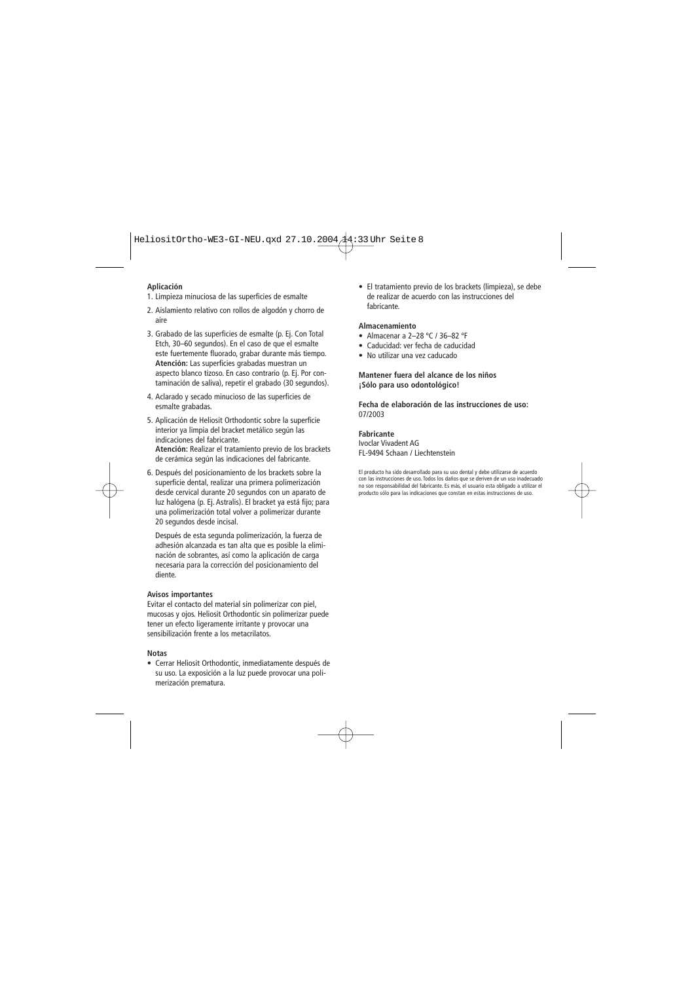#### **Aplicación**

- 1. Limpieza minuciosa de las superficies de esmalte
- 2. Aislamiento relativo con rollos de algodón y chorro de aire
- 3. Grabado de las superficies de esmalte (p. Ej. Con Total Etch, 30–60 segundos). En el caso de que el esmalte este fuertemente fluorado, grabar durante más tiempo. **Atención:** Las superficies grabadas muestran un aspecto blanco tizoso. En caso contrario (p. Ej. Por contaminación de saliva), repetir el grabado (30 segundos).
- 4. Aclarado y secado minucioso de las superficies de esmalte grabadas.
- 5. Aplicación de Heliosit Orthodontic sobre la superficie interior ya limpia del bracket metálico según las indicaciones del fabricante. **Atención:** Realizar el tratamiento previo de los brackets de cerámica según las indicaciones del fabricante.
- 6. Después del posicionamiento de los brackets sobre la superficie dental, realizar una primera polimerización desde cervical durante 20 segundos con un aparato de luz halógena (p. Ej. Astralis). El bracket ya está fijo; para una polimerización total volver a polimerizar durante 20 segundos desde incisal.

Después de esta segunda polimerización, la fuerza de adhesión alcanzada es tan alta que es posible la eliminación de sobrantes, así como la aplicación de carga necesaria para la corrección del posicionamiento del diente.

#### **Avisos importantes**

Evitar el contacto del material sin polimerizar con piel, mucosas y ojos. Heliosit Orthodontic sin polimerizar puede tener un efecto ligeramente irritante y provocar una sensibilización frente a los metacrilatos.

#### **Notas**

• Cerrar Heliosit Orthodontic, inmediatamente después de su uso. La exposición a la luz puede provocar una polimerización prematura.

• El tratamiento previo de los brackets (limpieza), se debe de realizar de acuerdo con las instrucciones del fabricante.

#### **Almacenamiento**

- Almacenar a 2–28 ºC / 36–82 ºF
- Caducidad: ver fecha de caducidad
- No utilizar una vez caducado

#### **Mantener fuera del alcance de los niños ¡Sólo para uso odontológico!**

**Fecha de elaboración de las instrucciones de uso:** 07/2003

#### **Fabricante**

Ivoclar Vivadent AG FL-9494 Schaan / Liechtenstein

El producto ha sido desarrollado para su uso dental y debe utilizarse de acuerdo con las instrucciones de uso. Todos los daños que se deriven de un uso inadecuado no son responsabilidad del fabricante. Es más, el usuario esta obligado a utilizar el producto sólo para las indicaciones que constan en estas instrucciones de uso.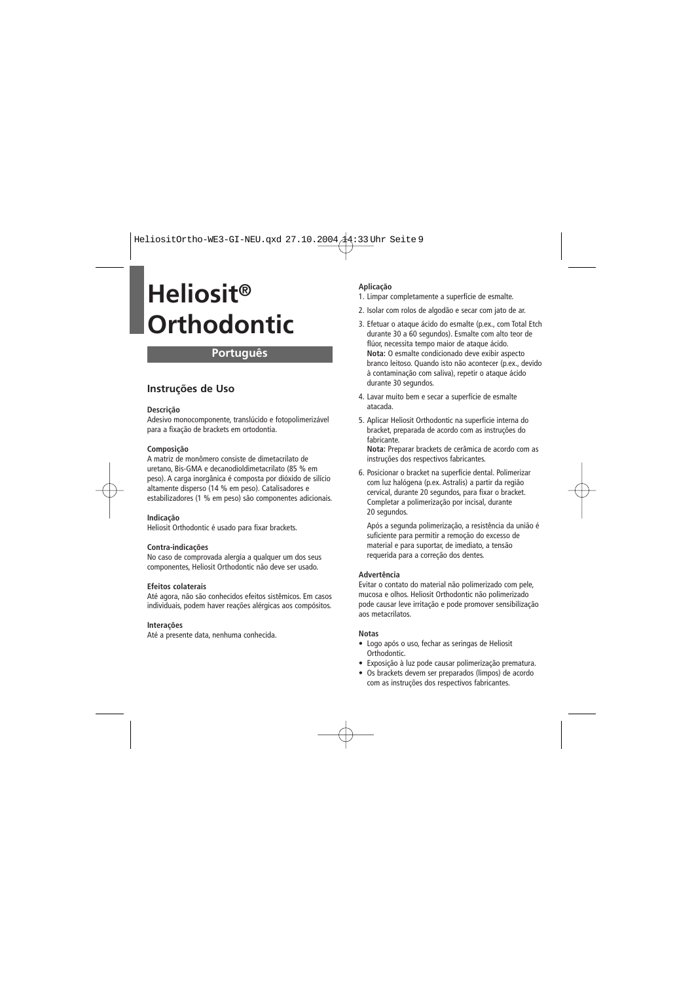## **Português**

### **Instruções de Uso**

#### **Descrição**

Adesivo monocomponente, translúcido e fotopolimerizável para a fixação de brackets em ortodontia.

#### **Composição**

A matriz de monômero consiste de dimetacrilato de uretano, Bis-GMA e decanodioldimetacrilato (85 % em peso). A carga inorgânica é composta por dióxido de silício altamente disperso (14 % em peso). Catalisadores e estabilizadores (1 % em peso) são componentes adicionais.

#### **Indicação**

Heliosit Orthodontic é usado para fixar brackets.

#### **Contra-indicações**

No caso de comprovada alergia a qualquer um dos seus componentes, Heliosit Orthodontic não deve ser usado.

#### **Efeitos colaterais**

Até agora, não são conhecidos efeitos sistêmicos. Em casos individuais, podem haver reações alérgicas aos compósitos.

#### **Interações**

Até a presente data, nenhuma conhecida.

#### **Aplicação**

- 1. Limpar completamente a superfície de esmalte.
- 2. Isolar com rolos de algodão e secar com jato de ar.
- 3. Efetuar o ataque ácido do esmalte (p.ex., com Total Etch durante 30 a 60 segundos). Esmalte com alto teor de flúor, necessita tempo maior de ataque ácido. **Nota:** O esmalte condicionado deve exibir aspecto branco leitoso. Quando isto não acontecer (p.ex., devido à contaminação com saliva), repetir o ataque ácido durante 30 segundos.
- 4. Lavar muito bem e secar a superfície de esmalte atacada.
- 5. Aplicar Heliosit Orthodontic na superficie interna do bracket, preparada de acordo com as instruções do fabricante.

**Nota:** Preparar brackets de cerâmica de acordo com as instruções dos respectivos fabricantes.

6. Posicionar o bracket na superfície dental. Polimerizar com luz halógena (p.ex. Astralis) a partir da região cervical, durante 20 segundos, para fixar o bracket. Completar a polimerização por incisal, durante 20 segundos.

Após a segunda polimerização, a resistência da união é suficiente para permitir a remoção do excesso de material e para suportar, de imediato, a tensão requerida para a correção dos dentes.

#### **Advertência**

Evitar o contato do material não polimerizado com pele, mucosa e olhos. Heliosit Orthodontic não polimerizado pode causar leve irritação e pode promover sensibilização aos metacrilatos.

#### **Notas**

- Logo após o uso, fechar as seringas de Heliosit Orthodontic.
- Exposição à luz pode causar polimerização prematura.
- Os brackets devem ser preparados (limpos) de acordo com as instruções dos respectivos fabricantes.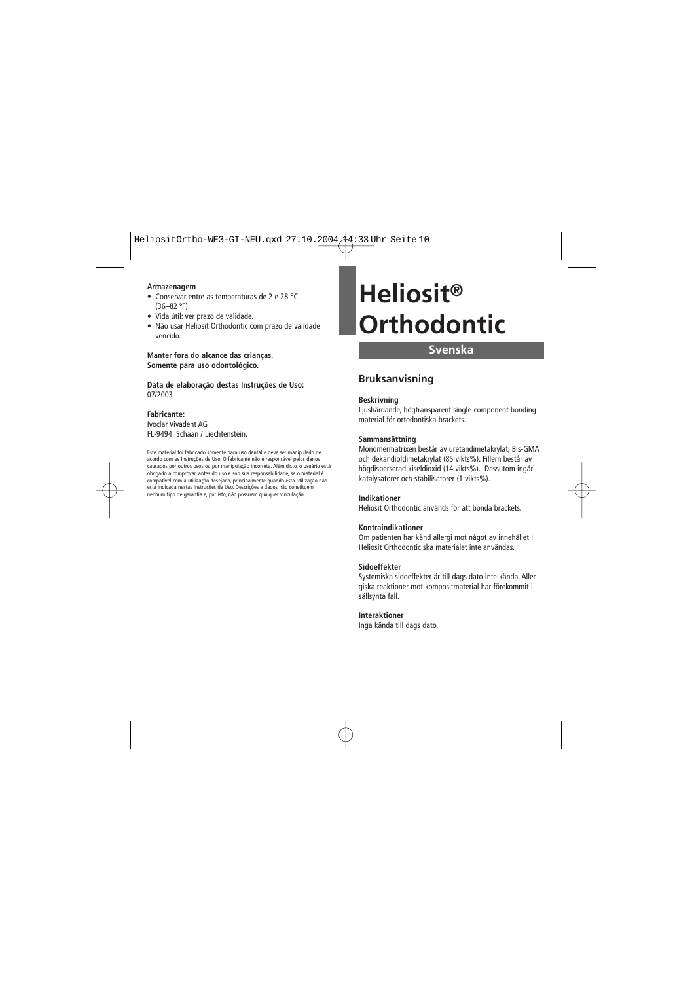#### **Armazenagem**

- Conservar entre as temperaturas de 2 e 28 °C (36–82 ºF).
- Vida útil: ver prazo de validade.
- Não usar Heliosit Orthodontic com prazo de validade vencido.

**Manter fora do alcance das crianças. Somente para uso odontológico.**

**Data de elaboração destas Instruções de Uso:** 07/2003

#### **Fabricante:**

Ivoclar Vivadent AG FL-9494 Schaan / Liechtenstein.

Este material foi fabricado somente para uso dental e deve ser manipulado de acordo com as Instruções de Uso. O fabricante não é responsável pelos danos causados por outros usos ou por manipulação incorreta. Além disto, o usuário está obrigado a comprovar, antes do uso e sob sua responsabilidade, se o material é compatível com a utilização desejada, principalmente quando esta utilização não está indicada nestas Instruções de Uso. Descrições e dados não constituem nenhum tipo de garantia e, por isto, não possuem qualquer vinculação.

## **Heliosit® Orthodontic**

### **Svenska**

### **Bruksanvisning**

#### **Beskrivning**

Ljushärdande, högtransparent single-component bonding material för ortodontiska brackets.

#### **Sammansättning**

Monomermatrixen består av uretandimetakrylat, Bis-GMA och dekandioldimetakrylat (85 vikts%). Fillern består av högdisperserad kiseldioxid (14 vikts%). Dessutom ingår katalysatorer och stabilisatorer (1 vikts%).

#### **Indikationer**

Heliosit Orthodontic används för att bonda brackets.

#### **Kontraindikationer**

Om patienten har känd allergi mot något av innehållet i Heliosit Orthodontic ska materialet inte användas.

#### **Sidoeffekter**

Systemiska sidoeffekter är till dags dato inte kända. Allergiska reaktioner mot kompositmaterial har förekommit i sällsynta fall.

### **Interaktioner**

Inga kända till dags dato.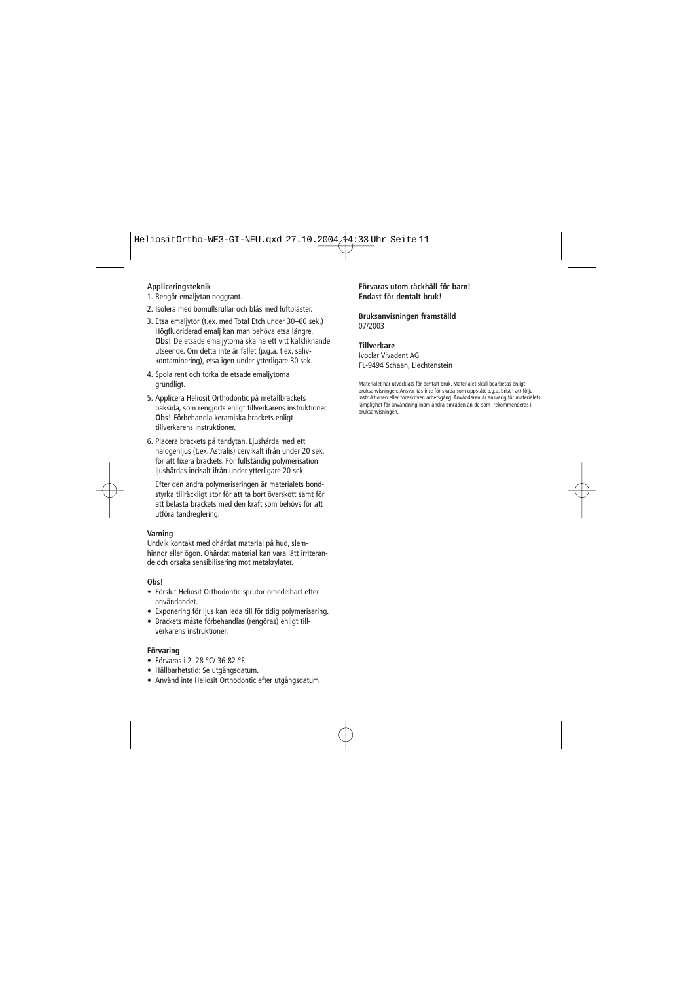#### **Appliceringsteknik**

- 1. Rengör emaljytan noggrant.
- 2. Isolera med bomullsrullar och blås med luftbläster.
- 3. Etsa emaljytor (t.ex. med Total Etch under 30–60 sek.) Högfluoriderad emalj kan man behöva etsa längre. **Obs!** De etsade emaljytorna ska ha ett vitt kalkliknande utseende. Om detta inte är fallet (p.g.a. t.ex. salivkontaminering), etsa igen under ytterligare 30 sek.
- 4. Spola rent och torka de etsade emaljytorna grundligt.
- 5. Applicera Heliosit Orthodontic på metallbrackets baksida, som rengjorts enligt tillverkarens instruktioner. **Obs!** Förbehandla keramiska brackets enligt tillverkarens instruktioner.
- 6. Placera brackets på tandytan. Ljushärda med ett halogenljus (t.ex. Astralis) cervikalt ifrån under 20 sek. för att fixera brackets. För fullständig polymerisation ljushärdas incisalt ifrån under ytterligare 20 sek.

Efter den andra polymeriseringen är materialets bondstyrka tillräckligt stor för att ta bort överskott samt för att belasta brackets med den kraft som behövs för att utföra tandreglering.

#### **Varning**

Undvik kontakt med ohärdat material på hud, slemhinnor eller ögon. Ohärdat material kan vara lätt irriterande och orsaka sensibilisering mot metakrylater.

#### **Obs!**

- Förslut Heliosit Orthodontic sprutor omedelbart efter användandet.
- Exponering för ljus kan leda till för tidig polymerisering.
- Brackets måste förbehandlas (rengöras) enligt tillverkarens instruktioner.

#### **Förvaring**

- Förvaras i 2–28 °C/ 36-82 °F.
- Hållbarhetstid: Se utgångsdatum.
- Använd inte Heliosit Orthodontic efter utgångsdatum.

#### **Förvaras utom räckhåll för barn! Endast för dentalt bruk!**

**Bruksanvisningen framställd** 07/2003

#### **Tillverkare**

Ivoclar Vivadent AG FL-9494 Schaan, Liechtenstein

Materialet har utvecklats för dentalt bruk. Materialet skall bearbetas enligt bruksanvisningen. Ansvar tas inte för skada som uppstått p.g.a. brist i att följa instruktionen eller föreskriven arbetsgång. Användaren är ansvarig för materialets lämplighet för användning inom andra områden än de som rekommenderas i bruksanvisningen.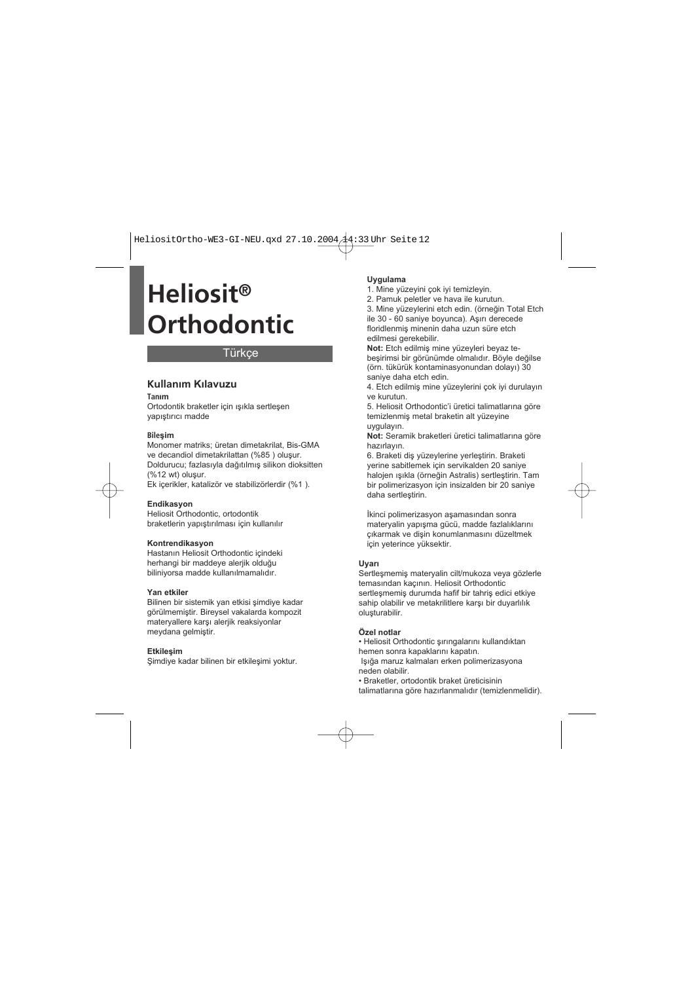## **Türkce**

### **Kullanım Kılavuzu**

#### **Tanım**

Ortodontik braketler için ışıkla sertleşen yapıştırıcı madde

#### **Bileşim**

Monomer matriks; üretan dimetakrilat, Bis-GMA ve decandiol dimetakrilattan (%85 ) oluşur. Doldurucu; fazlasıyla dağıtılmış silikon dioksitten (%12 wt) oluşur. Ek içerikler, katalizör ve stabilizörlerdir (%1 ).

#### **Endikasyon**

Heliosit Orthodontic, ortodontik braketlerin yapıştırılması için kullanılır

#### **Kontrendikasyon**

Hastanın Heliosit Orthodontic içindeki herhangi bir maddeve alerijk olduğu biliniyorsa madde kullanılmamalıdır.

#### **Yan etkiler**

Bilinen bir sistemik yan etkisi şimdiye kadar görülmemiştir. Bireysel vakalarda kompozit materyallere karşı alerjik reaksiyonlar meydana gelmiştir.

#### **Etkileşim**

Şimdiye kadar bilinen bir etkileşimi yoktur.

#### **Uygulama**

1. Mine yüzeyini çok iyi temizleyin.

2. Pamuk peletler ve hava ile kurutun.

3. Mine yüzeylerini etch edin. (örneğin Total Etch ile 30 - 60 saniye boyunca). Aşırı derecede floridlenmiş minenin daha uzun süre etch edilmesi gerekebilir.

**Not:** Etch edilmiş mine yüzeyleri beyaz tebeşirimsi bir görünümde olmalıdır. Böyle değilse (örn. tükürük kontaminasyonundan dolayı) 30 saniye daha etch edin.

4. Etch edilmiş mine yüzeylerini çok iyi durulayın ve kurutun.

5. Heliosit Orthodontic'i üretici talimatlarına göre temizlenmiş metal braketin alt yüzeyine uygulayın.

**Not:** Seramik braketleri üretici talimatlarına göre hazırlayın.

6. Braketi diş yüzeylerine yerleştirin. Braketi yerine sabitlemek için servikalden 20 saniye halojen ışıkla (örneğin Astralis) sertleştirin. Tam bir polimerizasyon için insizalden bir 20 saniye daha sertleştirin.

İkinci polimerizasyon aşamasından sonra materyalin yapışma gücü, madde fazlalıklarını çıkarmak ve dişin konumlanmasını düzeltmek için yeterince yüksektir.

#### **Uyarı**

Sertleşmemiş materyalin cilt/mukoza veya gözlerle temasından kaçının. Heliosit Orthodontic sertleşmemiş durumda hafif bir tahriş edici etkiye sahip olabilir ve metakrilitlere karşı bir duyarlılık oluşturabilir.

#### **Özel notlar**

• Heliosit Orthodontic şırıngalarını kullandıktan hemen sonra kapaklarını kapatın.

 Işığa maruz kalmaları erken polimerizasyona neden olabilir.

• Braketler, ortodontik braket üreticisinin talimatlarına göre hazırlanmalıdır (temizlenmelidir).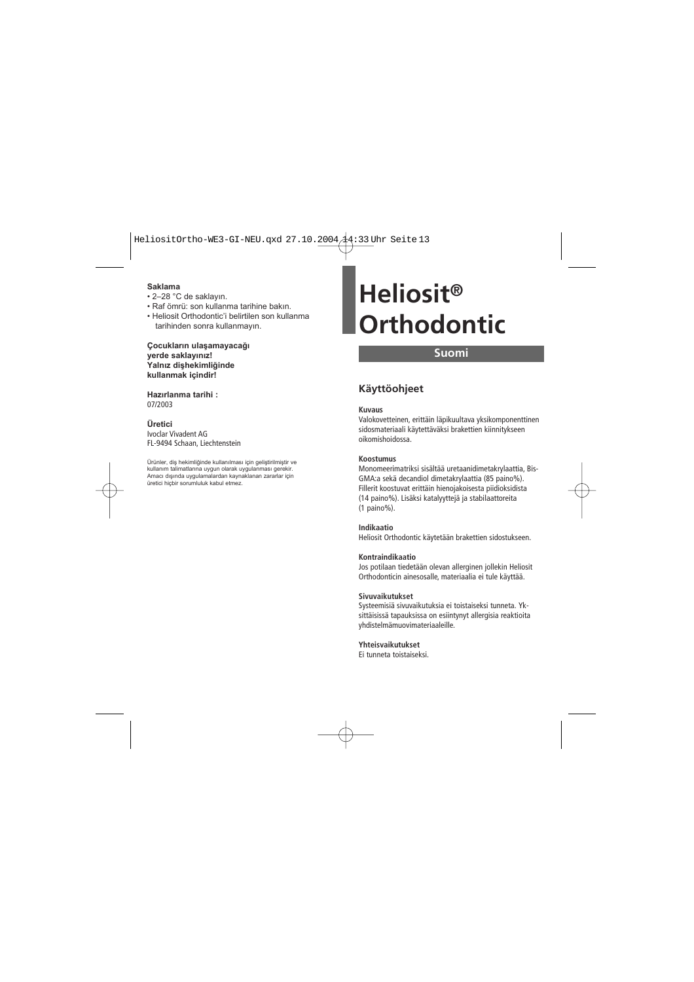#### **Saklama**

- 2–28 °C de saklayın.
- Raf ömrü: son kullanma tarihine bakın.
- Heliosit Orthodontic'i belirtilen son kullanma tarihinden sonra kullanmayın.

**Çocukların ulaşamayacağı yerde saklayınız! Yalnız dişhekimliğinde kullanmak içindir!**

**Hazırlanma tarihi :** 07/2003

#### **Üretici**

Ivoclar Vivadent AG FL-9494 Schaan, Liechtenstein

Ürünler, diş hekimliğinde kullanılması için geliştirilmiştir ve kullanım talimatlarına uygun olarak uygulanması gerekir. Amacı dışında uygulamalardan kaynaklanan zararlar için üretici hiçbir sorumluluk kabul etmez.

# **Heliosit® Orthodontic**

### **Suomi**

## **Käyttöohjeet**

#### **Kuvaus**

Valokovetteinen, erittäin läpikuultava yksikomponenttinen sidosmateriaali käytettäväksi brakettien kiinnitykseen oikomishoidossa.

#### **Koostumus**

Monomeerimatriksi sisältää uretaanidimetakrylaattia, Bis-GMA:a sekä decandiol dimetakrylaattia (85 paino%). Fillerit koostuvat erittäin hienojakoisesta piidioksidista (14 paino%). Lisäksi katalyyttejä ja stabilaattoreita (1 paino%).

#### **Indikaatio**

Heliosit Orthodontic käytetään brakettien sidostukseen.

#### **Kontraindikaatio**

Jos potilaan tiedetään olevan allerginen jollekin Heliosit Orthodonticin ainesosalle, materiaalia ei tule käyttää.

#### **Sivuvaikutukset**

Systeemisiä sivuvaikutuksia ei toistaiseksi tunneta. Yksittäisissä tapauksissa on esiintynyt allergisia reaktioita yhdistelmämuovimateriaaleille.

#### **Yhteisvaikutukset**

Ei tunneta toistaiseksi.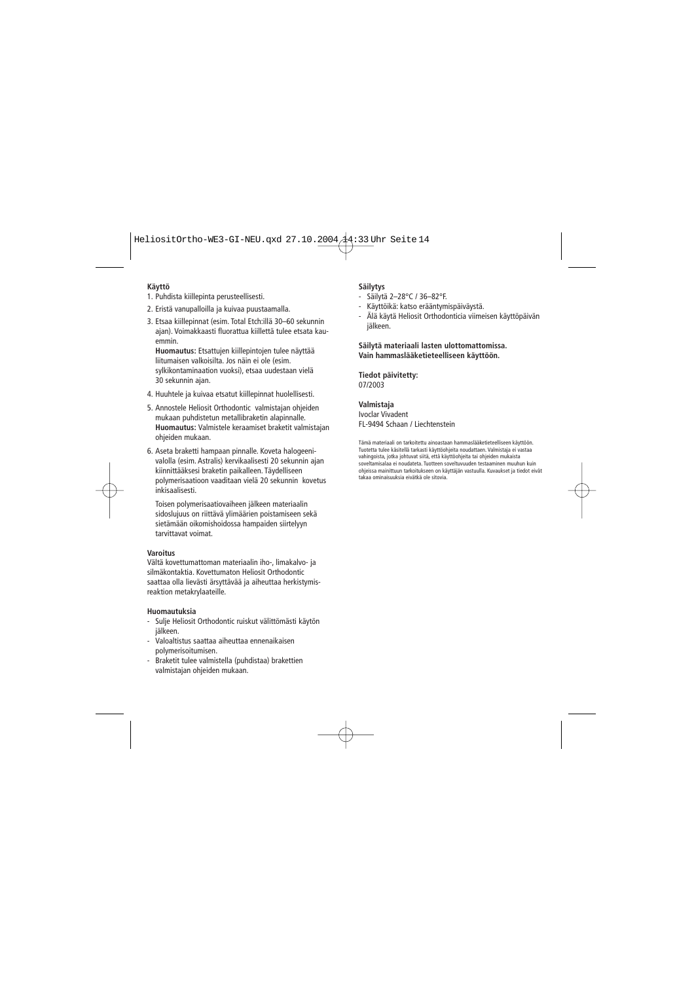#### **Käyttö**

- 1. Puhdista kiillepinta perusteellisesti.
- 2. Eristä vanupalloilla ja kuivaa puustaamalla.
- 3. Etsaa kiillepinnat (esim. Total Etch:illä 30–60 sekunnin ajan). Voimakkaasti fluorattua kiillettä tulee etsata kauemmin.

**Huomautus:** Etsattujen kiillepintojen tulee näyttää liitumaisen valkoisilta. Jos näin ei ole (esim. sylkikontaminaation vuoksi), etsaa uudestaan vielä 30 sekunnin ajan.

- 4. Huuhtele ja kuivaa etsatut kiillepinnat huolellisesti.
- 5. Annostele Heliosit Orthodontic valmistajan ohjeiden mukaan puhdistetun metallibraketin alapinnalle. **Huomautus:** Valmistele keraamiset braketit valmistajan ohjeiden mukaan.
- 6. Aseta braketti hampaan pinnalle. Koveta halogeenivalolla (esim. Astralis) kervikaalisesti 20 sekunnin ajan kiinnittääksesi braketin paikalleen. Täydelliseen polymerisaatioon vaaditaan vielä 20 sekunnin kovetus inkisaalisesti.

Toisen polymerisaatiovaiheen jälkeen materiaalin sidoslujuus on riittävä ylimäärien poistamiseen sekä sietämään oikomishoidossa hampaiden siirtelyyn tarvittavat voimat.

#### **Varoitus**

Vältä kovettumattoman materiaalin iho-, limakalvo- ja silmäkontaktia. Kovettumaton Heliosit Orthodontic saattaa olla lievästi ärsyttävää ja aiheuttaa herkistymisreaktion metakrylaateille.

#### **Huomautuksia**

- Sulje Heliosit Orthodontic ruiskut välittömästi käytön jälkeen.
- Valoaltistus saattaa aiheuttaa ennenaikaisen polymerisoitumisen.
- Braketit tulee valmistella (puhdistaa) brakettien valmistajan ohjeiden mukaan.

#### **Säilytys**

- Säilytä 2–28°C / 36–82°F.
- Käyttöikä: katso erääntymispäiväystä.
- Älä käytä Heliosit Orthodonticia viimeisen käyttöpäivän jälkeen.

#### **Säilytä materiaali lasten ulottomattomissa. Vain hammaslääketieteelliseen käyttöön.**

**Tiedot päivitetty:** 07/2003

#### **Valmistaja**

Ivoclar Vivadent FL-9494 Schaan / Liechtenstein

Tämä materiaali on tarkoitettu ainoastaan hammaslääketieteelliseen käyttöön. Tuotetta tulee käsitellä tarkasti käyttöohjeita noudattaen. Valmistaja ei vastaa vahingoista, jotka johtuvat siitä, että käyttöohjeita tai ohjeiden mukaista soveltamisalaa ei noudateta. Tuotteen soveltuvuuden testaaminen muuhun kuin ohjeissa mainittuun tarkoitukseen on käyttäjän vastuulla. Kuvaukset ja tiedot eivät takaa ominaisuuksia eivätkä ole sitovia.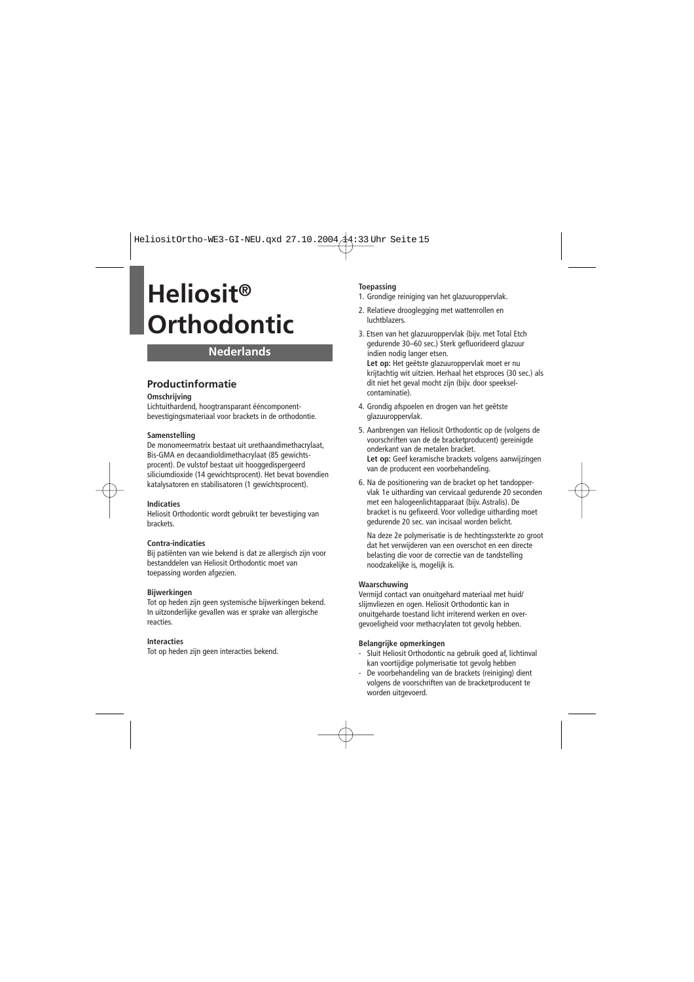## **Nederlands**

## **Productinformatie**

#### **Omschrijving**

Lichtuithardend, hoogtransparant ééncomponentbevestigingsmateriaal voor brackets in de orthodontie.

#### **Samenstelling**

De monomeermatrix bestaat uit urethaandimethacrylaat, Bis-GMA en decaandioldimethacrylaat (85 gewichtsprocent). De vulstof bestaat uit hooggedispergeerd siliciumdioxide (14 gewichtsprocent). Het bevat bovendien katalysatoren en stabilisatoren (1 gewichtsprocent).

#### **Indicaties**

Heliosit Orthodontic wordt gebruikt ter bevestiging van brackets.

#### **Contra-indicaties**

Bij patiënten van wie bekend is dat ze allergisch zijn voor bestanddelen van Heliosit Orthodontic moet van toepassing worden afgezien.

#### **Bijwerkingen**

Tot op heden zijn geen systemische bijwerkingen bekend. In uitzonderlijke gevallen was er sprake van allergische reacties.

#### **Interacties**

Tot op heden zijn geen interacties bekend.

#### **Toepassing**

- 1. Grondige reiniging van het glazuuroppervlak.
- 2. Relatieve drooglegging met wattenrollen en **luchthlazers**
- 3. Etsen van het glazuuroppervlak (bijv. met Total Etch gedurende 30–60 sec.) Sterk gefluorideerd glazuur indien nodig langer etsen. **Let op:** Het geëtste glazuuroppervlak moet er nu krijtachtig wit uitzien. Herhaal het etsproces (30 sec.) als dit niet het geval mocht zijn (bijv. door speekselcontaminatie).
- 4. Grondig afspoelen en drogen van het geëtste glazuuroppervlak.
- 5. Aanbrengen van Heliosit Orthodontic op de (volgens de voorschriften van de de bracketproducent) gereinigde onderkant van de metalen bracket. **Let op:** Geef keramische brackets volgens aanwijzingen van de producent een voorbehandeling.
- 6. Na de positionering van de bracket op het tandoppervlak 1e uitharding van cervicaal gedurende 20 seconden met een halogeenlichtapparaat (bijv. Astralis). De bracket is nu gefixeerd. Voor volledige uitharding moet gedurende 20 sec. van incisaal worden belicht.

Na deze 2e polymerisatie is de hechtingssterkte zo groot dat het verwijderen van een overschot en een directe belasting die voor de correctie van de tandstelling noodzakelijke is, mogelijk is.

#### **Waarschuwing**

Vermijd contact van onuitgehard materiaal met huid/ slijmvliezen en ogen. Heliosit Orthodontic kan in onuitgeharde toestand licht irriterend werken en overgevoeligheid voor methacrylaten tot gevolg hebben.

#### **Belangrijke opmerkingen**

- Sluit Heliosit Orthodontic na gebruik goed af, lichtinval kan voortijdige polymerisatie tot gevolg hebben
- De voorbehandeling van de brackets (reiniging) dient volgens de voorschriften van de bracketproducent te worden uitgevoerd.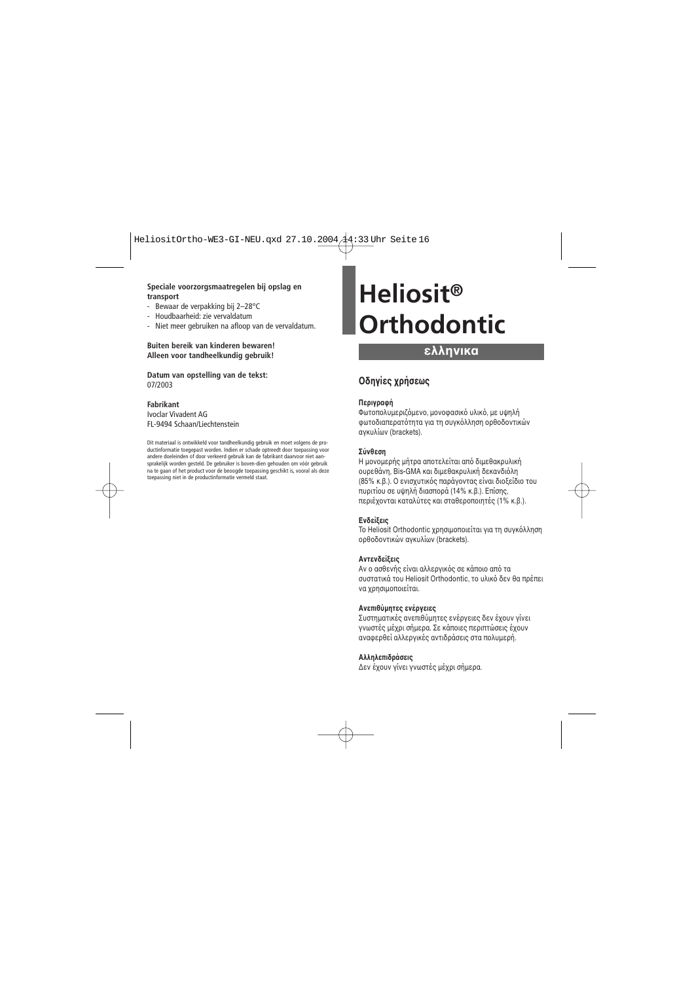#### **Speciale voorzorgsmaatregelen bij opslag en transport**

- Bewaar de verpakking bij 2–28°C
- Houdbaarheid: zie vervaldatum
- Niet meer gebruiken na afloop van de vervaldatum.

#### **Buiten bereik van kinderen bewaren! Alleen voor tandheelkundig gebruik!**

**Datum van opstelling van de tekst:** 07/2003

#### **Fabrikant**

Ivoclar Vivadent AG FL-9494 Schaan/Liechtenstein

Dit materiaal is ontwikkeld voor tandheelkundig gebruik en moet volgens de productinformatie toegepast worden. Indien er schade optreedt door toepassing voor andere doeleinden of door verkeerd gebruik kan de fabrikant daarvoor niet aansprakelijk worden gesteld. De gebruiker is boven-dien gehouden om vóór gebruik na te gaan of het product voor de beoogde toepassing geschikt is, vooral als deze toepassing niet in de productinformatie vermeld staat.

# **Heliosit® Orthodontic**

## **ελληνικα**

## **δηγίες ρήσεως**

#### **Περιγραή**

Φωτοπολυμεριζόμενο, μονοφασικό υλικό, με υψηλή φωτοδιαπερατότητα για τη συγκόλληση ροθοδοντικών αγκυλίων (brackets).

#### **Σύνθεση**

Η μονομερής μήτρα αποτελείται από διμεθακρυλική υρεθάνη, Bis-GMA και διµεθακρυλική δεκανδιλη (85% κ.β.). Ο ενισχυτικός παράγοντας είναι διοξείδιο του πυριτίου σε υψηλή διασπορά (14% κ.β.). Επίσης, περιέχονται καταλύτες και σταθεροποιητές (1% κ.β.).

#### **Ενδείεις**

Το Heliosit Orthodontic χρησιμοποιείται για τη συγκόλληση ρθδντικών αγκυλίων (brackets).

#### **Αντενδείεις**

Αν ο ασθενής είναι αλλεργικός σε κάποιο από τα συστατικά του Heliosit Orthodontic, το υλικό δεν θα πρέπει να χρησιμοποιείται.

#### **Ανεπιθύµητες ενέργειες**

Συστηματικές ανεπιθύμητες ενέργειες δεν έγουν γίνει γνωστές μέχρι σήμερα. Σε κάποιες περιπτώσεις έχουν αναερθεί αλλεργικές αντιδράσεις στα πλυµερή.

#### **Αλληλεπιδράσεις**

∆εν έυν γίνει γνωστές µέρι σήµερα.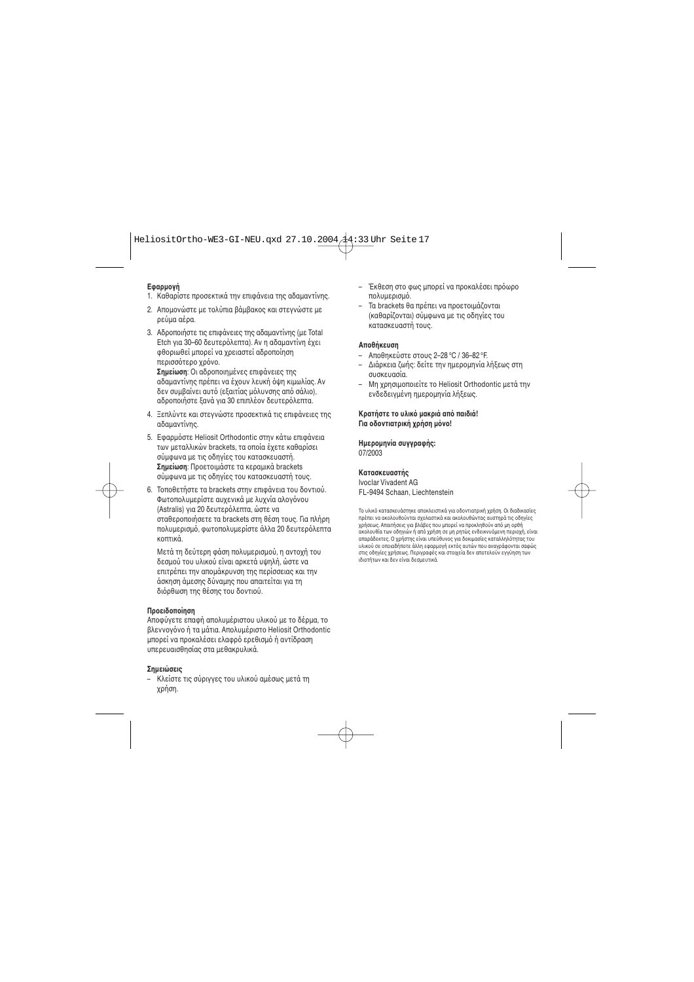#### **Εαρµγή**

- 1. Καθαρίστε πρσεκτικά την επιάνεια της αδαµαντίνης.
- 2. Απομονώστε με τολύπια βάμβακος και στεννώστε με ρεύµα αέρα.
- 3. Αδρπιήστε τις επιάνειες της αδαµαντίνης (µε Total Etch για 30–60 δευτερόλεπτα). Αν η αδαμαντίνη έχει φθοριωθεί μπορεί να χρειαστεί αδροποίηση περισσότερο χρόνο.

**Σημείωση**: Οι αδροποιημένες επιφάνειες της αδαμαντίνης πρέπει να ένουν λευκή όψη κιμωλίας. Αν δεν συμβαίνει αυτό (εξαιτίας μόλυνσης από σάλιο). αδροποιήστε ξανά νια 30 επιπλέον δευτερόλεπτα.

- 4. Ξεπλύντε και στεγνώστε προσεκτικά τις επιφάνειες της αδαµαντίνης.
- 5. Εφαρμόστε Heliosit Orthodontic στην κάτω επιφάνεια των μεταλλικών brackets, τα οποία έχετε καθαρίσει σύµωνα µε τις δηγίες τυ κατασκευαστή. **Σημείωση**: Προετοιμάστε τα κεραμικά brackets σύμφωνα με τις οδηνίες του κατασκευαστή τους.
- 6. Τοποθετήστε τα brackets στην επιφάνεια του δοντιού. Φωτοπολυμερίστε αυχενικά με λυχνία αλογόνου (Astralis) για 20 δευτερλεπτα, ώστε να σταθεροποιήσετε τα brackets στη θέση τους. Για πλήρη πολυμερισμό, φωτοπολυμερίστε άλλα 20 δευτερόλεπτα κπτικά.

Μετά τη δεύτερη φάση πολυμερισμού, η αντοχή του δεσμού του υλικού είναι αρκετά υψηλή, ώστε να επιτρέπει την απομάκρυνση της περίσσειας και την άσκηση άμεσης δύναμης που απαιτείται για τη διόρθωση της θέσης του δοντιού.

#### **Προειδοποίηση**

Αποφύνετε επαφή απολυμέριστου υλικού με το δέρμα, το βλεννονόνο ή τα μάτια. Απολυμέριστο Heliosit Orthodontic μπροεί να προκαλέσει ελαφρό ερεθισμό ή αντίδραση υπερευαισθησίας στα µεθακρυλικά.

#### **Σηµειώσεις**

– Κλείστε τις σύριγγες τυ υλικύ αµέσως µετά τη γρήση.

- Έκθεση στο φως μπορεί να προκαλέσει πρόωρο πολυμερισμό.
- Τα brackets θα πρέπει να πρετιµάνται (καθαρίνται) σύµωνα µε τις δηγίες τυ κατασκευαστή τους.

#### **Απθήκευση**

- Απθηκεύστε στυς 2–28 °C / 36–82 °F.
- $-$  Διάρκεια ζωής: δείτε την ημερομηνία λήξεως στη συσκευασία.
- Μη χρησιμοποιείτε το Heliosit Orthodontic μετά την ενδεδειγμένη ημερομηνία λήξεως.

#### **Κρατήστε το υλικό μακριά από παιδιά! Για οδοντιατρική χρήση μόνο!**

#### **Ημερομηνία συγγραφής:** 07/2003

#### **Κατασκευαστής**

Ivoclar Vivadent AG FL-9494 Schaan, Liechtenstein

Το υλικό κατασκευάστηκε αποκλειστικά νια οδοντιατρική χρήση. Οι διαδικασίες πρέπει να ακολουθούνται σχολαστικά και ακολουθώντας αυστηρά τις οδηνίες χρήσεως. Απαιτήσεις για βλάβες που μπορεί να προκληθούν από μη ορθή ακολουθία των οδηγιών ή από χρήση σε un ρητώς ενδεικνυόμενη περιοχή, είναι απαράδεκτες. Ο χρήστης είναι υπεύθυνος για δοκιμασίες καταλληλότητας του υλικού σε οποιαδήποτε άλλη εφαρμονή εκτός αυτών που ανανράφονται σαφώς στις οδηγίες χρήσεως. Περιγραφές και στοιχεία δεν αποτελούν εγγύηση των ιδιτήτων και δεν είναι δεσµευτικά.